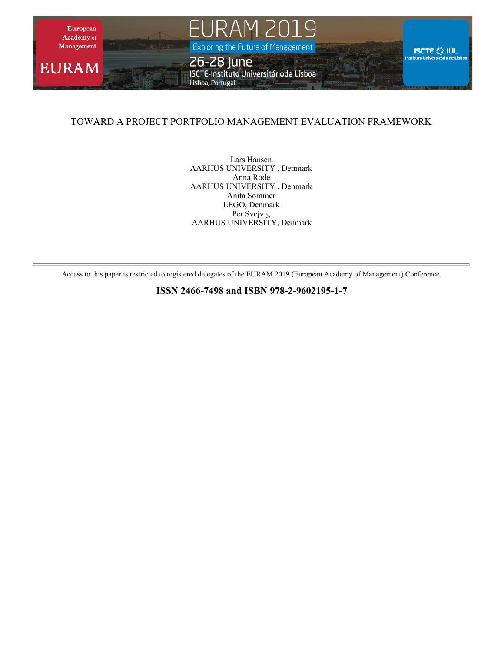

#### TOWARD A PROJECT PORTFOLIO MANAGEMENT EVALUATION FRAMEWORK

Lars Hansen AARHUS UNIVERSITY , Denmark Anna Rode AARHUS UNIVERSITY , Denmark Anita Sommer LEGO, Denmark Per Svejvig AARHUS UNIVERSITY, Denmark

Access to this paper is restricted to registered delegates of the EURAM 2019 (European Academy of Management) Conference.

**ISSN 2466-7498 and ISBN 978-2-9602195-1-7**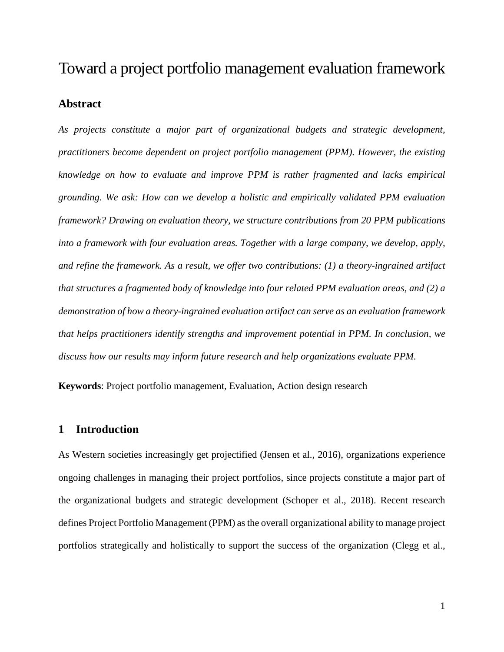# Toward a project portfolio management evaluation framework

#### **Abstract**

*As projects constitute a major part of organizational budgets and strategic development, practitioners become dependent on project portfolio management (PPM). However, the existing knowledge on how to evaluate and improve PPM is rather fragmented and lacks empirical grounding. We ask: How can we develop a holistic and empirically validated PPM evaluation framework? Drawing on evaluation theory, we structure contributions from 20 PPM publications into a framework with four evaluation areas. Together with a large company, we develop, apply, and refine the framework. As a result, we offer two contributions: (1) a theory-ingrained artifact that structures a fragmented body of knowledge into four related PPM evaluation areas, and (2) a demonstration of how a theory-ingrained evaluation artifact can serve as an evaluation framework that helps practitioners identify strengths and improvement potential in PPM. In conclusion, we discuss how our results may inform future research and help organizations evaluate PPM.*

**Keywords**: Project portfolio management, Evaluation, Action design research

#### **1 Introduction**

As Western societies increasingly get projectified (Jensen et al., 2016), organizations experience ongoing challenges in managing their project portfolios, since projects constitute a major part of the organizational budgets and strategic development (Schoper et al., 2018). Recent research defines Project Portfolio Management (PPM) as the overall organizational ability to manage project portfolios strategically and holistically to support the success of the organization (Clegg et al.,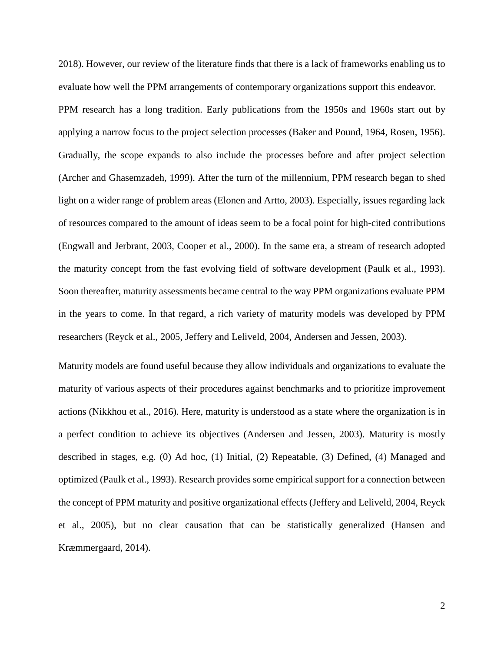2018). However, our review of the literature finds that there is a lack of frameworks enabling us to evaluate how well the PPM arrangements of contemporary organizations support this endeavor. PPM research has a long tradition. Early publications from the 1950s and 1960s start out by applying a narrow focus to the project selection processes (Baker and Pound, 1964, Rosen, 1956). Gradually, the scope expands to also include the processes before and after project selection (Archer and Ghasemzadeh, 1999). After the turn of the millennium, PPM research began to shed light on a wider range of problem areas (Elonen and Artto, 2003). Especially, issues regarding lack of resources compared to the amount of ideas seem to be a focal point for high-cited contributions (Engwall and Jerbrant, 2003, Cooper et al., 2000). In the same era, a stream of research adopted the maturity concept from the fast evolving field of software development (Paulk et al., 1993). Soon thereafter, maturity assessments became central to the way PPM organizations evaluate PPM in the years to come. In that regard, a rich variety of maturity models was developed by PPM researchers (Reyck et al., 2005, Jeffery and Leliveld, 2004, Andersen and Jessen, 2003).

Maturity models are found useful because they allow individuals and organizations to evaluate the maturity of various aspects of their procedures against benchmarks and to prioritize improvement actions (Nikkhou et al., 2016). Here, maturity is understood as a state where the organization is in a perfect condition to achieve its objectives (Andersen and Jessen, 2003). Maturity is mostly described in stages, e.g. (0) Ad hoc, (1) Initial, (2) Repeatable, (3) Defined, (4) Managed and optimized (Paulk et al., 1993). Research provides some empirical support for a connection between the concept of PPM maturity and positive organizational effects (Jeffery and Leliveld, 2004, Reyck et al., 2005), but no clear causation that can be statistically generalized (Hansen and Kræmmergaard, 2014).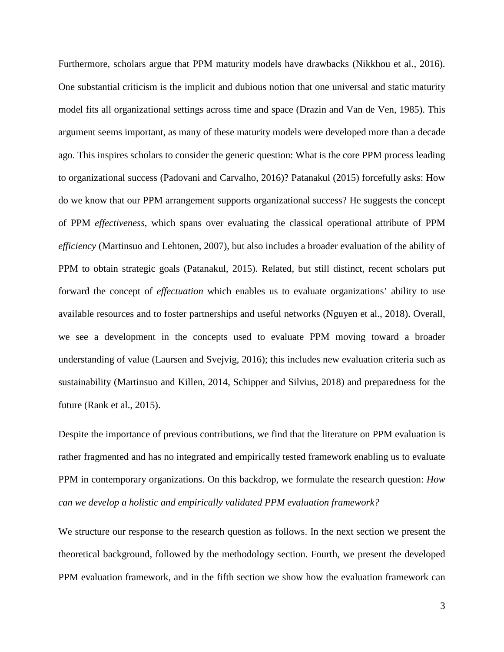Furthermore, scholars argue that PPM maturity models have drawbacks (Nikkhou et al., 2016). One substantial criticism is the implicit and dubious notion that one universal and static maturity model fits all organizational settings across time and space (Drazin and Van de Ven, 1985). This argument seems important, as many of these maturity models were developed more than a decade ago. This inspires scholars to consider the generic question: What is the core PPM process leading to organizational success (Padovani and Carvalho, 2016)? Patanakul (2015) forcefully asks: How do we know that our PPM arrangement supports organizational success? He suggests the concept of PPM *effectiveness*, which spans over evaluating the classical operational attribute of PPM *efficiency* (Martinsuo and Lehtonen, 2007), but also includes a broader evaluation of the ability of PPM to obtain strategic goals (Patanakul, 2015). Related, but still distinct, recent scholars put forward the concept of *effectuation* which enables us to evaluate organizations' ability to use available resources and to foster partnerships and useful networks (Nguyen et al., 2018). Overall, we see a development in the concepts used to evaluate PPM moving toward a broader understanding of value (Laursen and Svejvig, 2016); this includes new evaluation criteria such as sustainability (Martinsuo and Killen, 2014, Schipper and Silvius, 2018) and preparedness for the future (Rank et al., 2015).

Despite the importance of previous contributions, we find that the literature on PPM evaluation is rather fragmented and has no integrated and empirically tested framework enabling us to evaluate PPM in contemporary organizations. On this backdrop, we formulate the research question: *How can we develop a holistic and empirically validated PPM evaluation framework?* 

We structure our response to the research question as follows. In the next section we present the theoretical background, followed by the methodology section. Fourth, we present the developed PPM evaluation framework, and in the fifth section we show how the evaluation framework can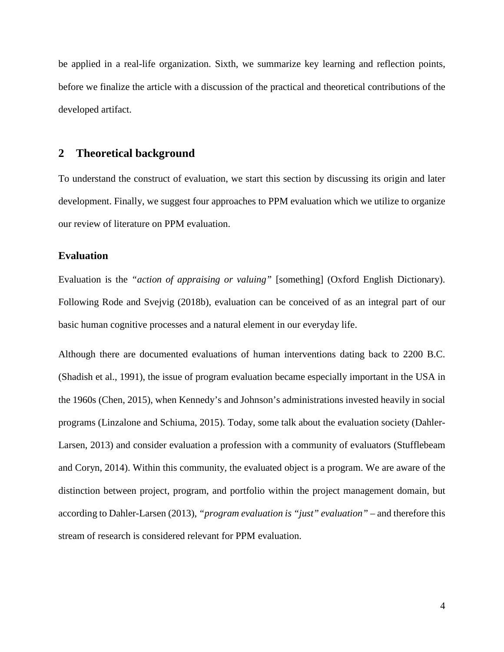be applied in a real-life organization. Sixth, we summarize key learning and reflection points, before we finalize the article with a discussion of the practical and theoretical contributions of the developed artifact.

#### **2 Theoretical background**

To understand the construct of evaluation, we start this section by discussing its origin and later development. Finally, we suggest four approaches to PPM evaluation which we utilize to organize our review of literature on PPM evaluation.

#### **Evaluation**

Evaluation is the *"action of appraising or valuing"* [something] (Oxford English Dictionary). Following Rode and Svejvig (2018b), evaluation can be conceived of as an integral part of our basic human cognitive processes and a natural element in our everyday life.

Although there are documented evaluations of human interventions dating back to 2200 B.C. (Shadish et al., 1991), the issue of program evaluation became especially important in the USA in the 1960s (Chen, 2015), when Kennedy's and Johnson's administrations invested heavily in social programs (Linzalone and Schiuma, 2015). Today, some talk about the evaluation society (Dahler-Larsen, 2013) and consider evaluation a profession with a community of evaluators (Stufflebeam and Coryn, 2014). Within this community, the evaluated object is a program. We are aware of the distinction between project, program, and portfolio within the project management domain, but according to Dahler-Larsen (2013), *"program evaluation is "just" evaluation"* – and therefore this stream of research is considered relevant for PPM evaluation.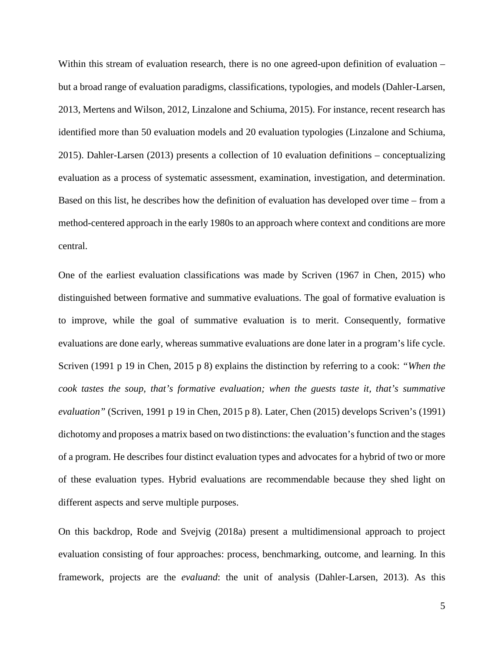Within this stream of evaluation research, there is no one agreed-upon definition of evaluation – but a broad range of evaluation paradigms, classifications, typologies, and models (Dahler-Larsen, 2013, Mertens and Wilson, 2012, Linzalone and Schiuma, 2015). For instance, recent research has identified more than 50 evaluation models and 20 evaluation typologies (Linzalone and Schiuma, 2015). Dahler-Larsen (2013) presents a collection of 10 evaluation definitions – conceptualizing evaluation as a process of systematic assessment, examination, investigation, and determination. Based on this list, he describes how the definition of evaluation has developed over time – from a method-centered approach in the early 1980s to an approach where context and conditions are more central.

One of the earliest evaluation classifications was made by Scriven (1967 in Chen, 2015) who distinguished between formative and summative evaluations. The goal of formative evaluation is to improve, while the goal of summative evaluation is to merit. Consequently, formative evaluations are done early, whereas summative evaluations are done later in a program's life cycle. Scriven (1991 p 19 in Chen, 2015 p 8) explains the distinction by referring to a cook: *"When the cook tastes the soup, that's formative evaluation; when the guests taste it, that's summative evaluation"* (Scriven, 1991 p 19 in Chen, 2015 p 8). Later, Chen (2015) develops Scriven's (1991) dichotomy and proposes a matrix based on two distinctions: the evaluation's function and the stages of a program. He describes four distinct evaluation types and advocates for a hybrid of two or more of these evaluation types. Hybrid evaluations are recommendable because they shed light on different aspects and serve multiple purposes.

On this backdrop, Rode and Svejvig (2018a) present a multidimensional approach to project evaluation consisting of four approaches: process, benchmarking, outcome, and learning. In this framework, projects are the *evaluand*: the unit of analysis (Dahler-Larsen, 2013). As this

5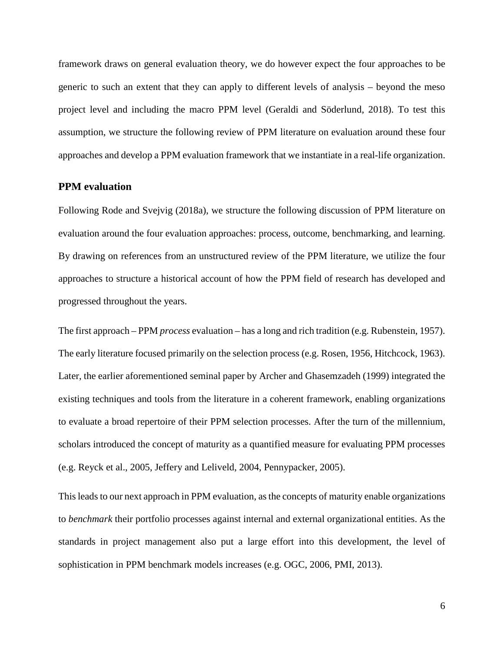framework draws on general evaluation theory, we do however expect the four approaches to be generic to such an extent that they can apply to different levels of analysis – beyond the meso project level and including the macro PPM level (Geraldi and Söderlund, 2018). To test this assumption, we structure the following review of PPM literature on evaluation around these four approaches and develop a PPM evaluation framework that we instantiate in a real-life organization.

#### **PPM evaluation**

Following Rode and Svejvig (2018a), we structure the following discussion of PPM literature on evaluation around the four evaluation approaches: process, outcome, benchmarking, and learning. By drawing on references from an unstructured review of the PPM literature, we utilize the four approaches to structure a historical account of how the PPM field of research has developed and progressed throughout the years.

The first approach – PPM *process* evaluation – has a long and rich tradition (e.g. Rubenstein, 1957). The early literature focused primarily on the selection process (e.g. Rosen, 1956, Hitchcock, 1963). Later, the earlier aforementioned seminal paper by Archer and Ghasemzadeh (1999) integrated the existing techniques and tools from the literature in a coherent framework, enabling organizations to evaluate a broad repertoire of their PPM selection processes. After the turn of the millennium, scholars introduced the concept of maturity as a quantified measure for evaluating PPM processes (e.g. Reyck et al., 2005, Jeffery and Leliveld, 2004, Pennypacker, 2005).

This leads to our next approach in PPM evaluation, as the concepts of maturity enable organizations to *benchmark* their portfolio processes against internal and external organizational entities. As the standards in project management also put a large effort into this development, the level of sophistication in PPM benchmark models increases (e.g. OGC, 2006, PMI, 2013).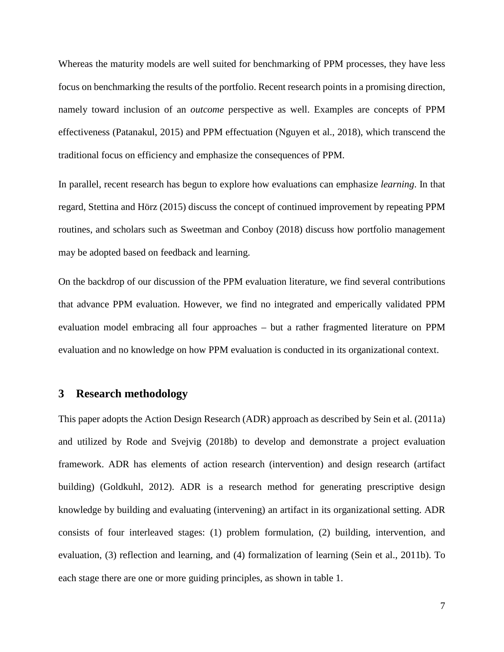Whereas the maturity models are well suited for benchmarking of PPM processes, they have less focus on benchmarking the results of the portfolio. Recent research points in a promising direction, namely toward inclusion of an *outcome* perspective as well. Examples are concepts of PPM effectiveness (Patanakul, 2015) and PPM effectuation (Nguyen et al., 2018), which transcend the traditional focus on efficiency and emphasize the consequences of PPM.

In parallel, recent research has begun to explore how evaluations can emphasize *learning*. In that regard, Stettina and Hörz (2015) discuss the concept of continued improvement by repeating PPM routines, and scholars such as Sweetman and Conboy (2018) discuss how portfolio management may be adopted based on feedback and learning.

On the backdrop of our discussion of the PPM evaluation literature, we find several contributions that advance PPM evaluation. However, we find no integrated and emperically validated PPM evaluation model embracing all four approaches – but a rather fragmented literature on PPM evaluation and no knowledge on how PPM evaluation is conducted in its organizational context.

#### **3 Research methodology**

This paper adopts the Action Design Research (ADR) approach as described by Sein et al. (2011a) and utilized by Rode and Svejvig (2018b) to develop and demonstrate a project evaluation framework. ADR has elements of action research (intervention) and design research (artifact building) (Goldkuhl, 2012). ADR is a research method for generating prescriptive design knowledge by building and evaluating (intervening) an artifact in its organizational setting. ADR consists of four interleaved stages: (1) problem formulation, (2) building, intervention, and evaluation, (3) reflection and learning, and (4) formalization of learning (Sein et al., 2011b). To each stage there are one or more guiding principles, as shown in table 1.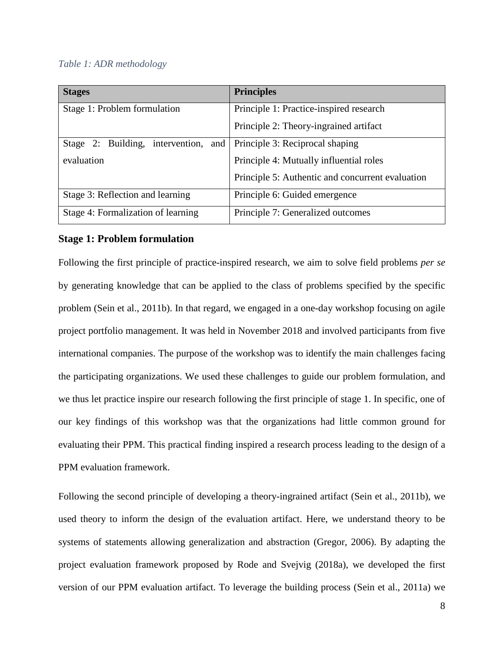#### *Table 1: ADR methodology*

| <b>Stages</b>                           | <b>Principles</b>                                |
|-----------------------------------------|--------------------------------------------------|
| Stage 1: Problem formulation            | Principle 1: Practice-inspired research          |
|                                         | Principle 2: Theory-ingrained artifact           |
| Stage 2: Building, intervention,<br>and | Principle 3: Reciprocal shaping                  |
| evaluation                              | Principle 4: Mutually influential roles          |
|                                         | Principle 5: Authentic and concurrent evaluation |
| Stage 3: Reflection and learning        | Principle 6: Guided emergence                    |
| Stage 4: Formalization of learning      | Principle 7: Generalized outcomes                |

#### **Stage 1: Problem formulation**

Following the first principle of practice-inspired research, we aim to solve field problems *per se* by generating knowledge that can be applied to the class of problems specified by the specific problem (Sein et al., 2011b). In that regard, we engaged in a one-day workshop focusing on agile project portfolio management. It was held in November 2018 and involved participants from five international companies. The purpose of the workshop was to identify the main challenges facing the participating organizations. We used these challenges to guide our problem formulation, and we thus let practice inspire our research following the first principle of stage 1. In specific, one of our key findings of this workshop was that the organizations had little common ground for evaluating their PPM. This practical finding inspired a research process leading to the design of a PPM evaluation framework.

Following the second principle of developing a theory-ingrained artifact (Sein et al., 2011b), we used theory to inform the design of the evaluation artifact. Here, we understand theory to be systems of statements allowing generalization and abstraction (Gregor, 2006). By adapting the project evaluation framework proposed by Rode and Svejvig (2018a), we developed the first version of our PPM evaluation artifact. To leverage the building process (Sein et al., 2011a) we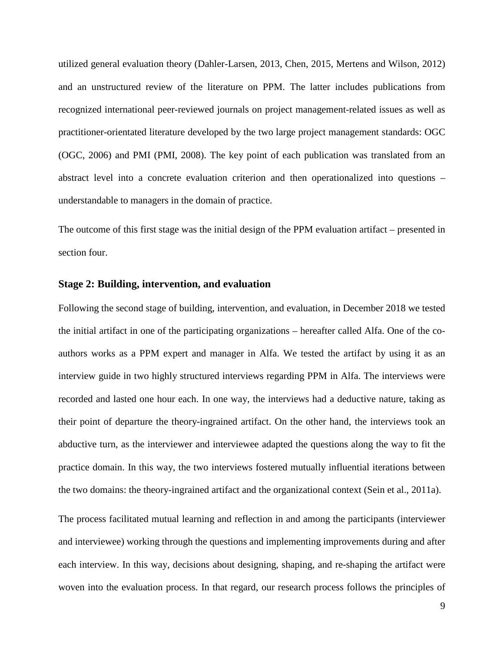utilized general evaluation theory (Dahler-Larsen, 2013, Chen, 2015, Mertens and Wilson, 2012) and an unstructured review of the literature on PPM. The latter includes publications from recognized international peer-reviewed journals on project management-related issues as well as practitioner-orientated literature developed by the two large project management standards: OGC (OGC, 2006) and PMI (PMI, 2008). The key point of each publication was translated from an abstract level into a concrete evaluation criterion and then operationalized into questions – understandable to managers in the domain of practice.

The outcome of this first stage was the initial design of the PPM evaluation artifact – presented in section four.

#### **Stage 2: Building, intervention, and evaluation**

Following the second stage of building, intervention, and evaluation, in December 2018 we tested the initial artifact in one of the participating organizations – hereafter called Alfa. One of the coauthors works as a PPM expert and manager in Alfa. We tested the artifact by using it as an interview guide in two highly structured interviews regarding PPM in Alfa. The interviews were recorded and lasted one hour each. In one way, the interviews had a deductive nature, taking as their point of departure the theory-ingrained artifact. On the other hand, the interviews took an abductive turn, as the interviewer and interviewee adapted the questions along the way to fit the practice domain. In this way, the two interviews fostered mutually influential iterations between the two domains: the theory-ingrained artifact and the organizational context (Sein et al., 2011a).

The process facilitated mutual learning and reflection in and among the participants (interviewer and interviewee) working through the questions and implementing improvements during and after each interview. In this way, decisions about designing, shaping, and re-shaping the artifact were woven into the evaluation process. In that regard, our research process follows the principles of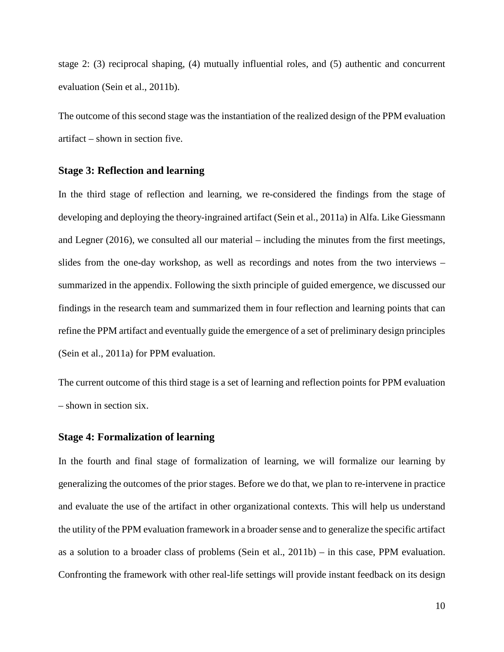stage 2: (3) reciprocal shaping, (4) mutually influential roles, and (5) authentic and concurrent evaluation (Sein et al., 2011b).

The outcome of this second stage was the instantiation of the realized design of the PPM evaluation artifact – shown in section five.

#### **Stage 3: Reflection and learning**

In the third stage of reflection and learning, we re-considered the findings from the stage of developing and deploying the theory-ingrained artifact (Sein et al., 2011a) in Alfa. Like Giessmann and Legner (2016), we consulted all our material – including the minutes from the first meetings, slides from the one-day workshop, as well as recordings and notes from the two interviews – summarized in the appendix. Following the sixth principle of guided emergence, we discussed our findings in the research team and summarized them in four reflection and learning points that can refine the PPM artifact and eventually guide the emergence of a set of preliminary design principles (Sein et al., 2011a) for PPM evaluation.

The current outcome of this third stage is a set of learning and reflection points for PPM evaluation – shown in section six.

#### **Stage 4: Formalization of learning**

In the fourth and final stage of formalization of learning, we will formalize our learning by generalizing the outcomes of the prior stages. Before we do that, we plan to re-intervene in practice and evaluate the use of the artifact in other organizational contexts. This will help us understand the utility of the PPM evaluation framework in a broader sense and to generalize the specific artifact as a solution to a broader class of problems (Sein et al., 2011b) – in this case, PPM evaluation. Confronting the framework with other real-life settings will provide instant feedback on its design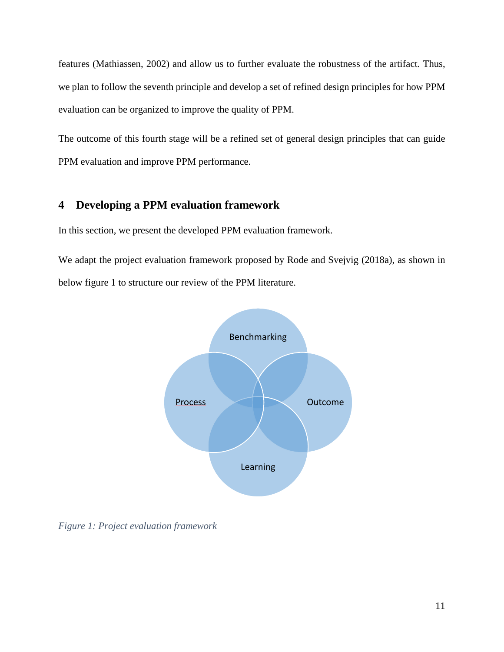features (Mathiassen, 2002) and allow us to further evaluate the robustness of the artifact. Thus, we plan to follow the seventh principle and develop a set of refined design principles for how PPM evaluation can be organized to improve the quality of PPM.

The outcome of this fourth stage will be a refined set of general design principles that can guide PPM evaluation and improve PPM performance.

### **4 Developing a PPM evaluation framework**

In this section, we present the developed PPM evaluation framework.

We adapt the project evaluation framework proposed by Rode and Svejvig (2018a), as shown in below figure 1 to structure our review of the PPM literature.



*Figure 1: Project evaluation framework*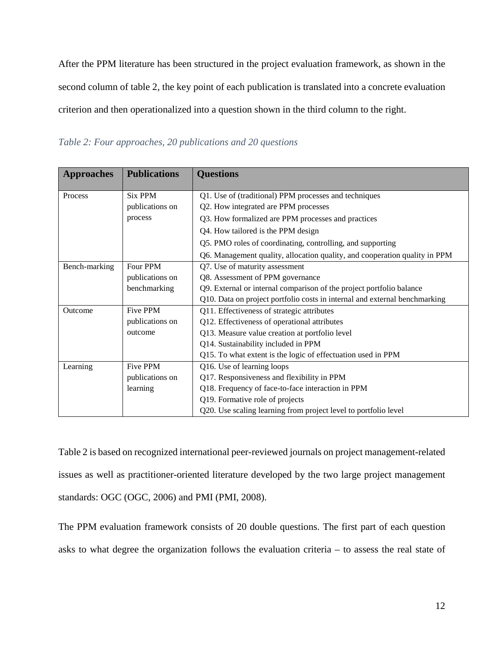After the PPM literature has been structured in the project evaluation framework, as shown in the second column of table 2, the key point of each publication is translated into a concrete evaluation criterion and then operationalized into a question shown in the third column to the right.

*Table 2: Four approaches, 20 publications and 20 questions*

| <b>Approaches</b> | <b>Publications</b> | <b>Questions</b>                                                           |
|-------------------|---------------------|----------------------------------------------------------------------------|
| Process           | <b>Six PPM</b>      | Q1. Use of (traditional) PPM processes and techniques                      |
|                   | publications on     | Q2. How integrated are PPM processes                                       |
|                   | process             | Q3. How formalized are PPM processes and practices                         |
|                   |                     | Q4. How tailored is the PPM design                                         |
|                   |                     | Q5. PMO roles of coordinating, controlling, and supporting                 |
|                   |                     | Q6. Management quality, allocation quality, and cooperation quality in PPM |
| Bench-marking     | Four PPM            | Q7. Use of maturity assessment                                             |
|                   | publications on     | Q8. Assessment of PPM governance                                           |
|                   | benchmarking        | Q9. External or internal comparison of the project portfolio balance       |
|                   |                     | Q10. Data on project portfolio costs in internal and external benchmarking |
| Outcome           | Five PPM            | Q11. Effectiveness of strategic attributes                                 |
|                   | publications on     | Q12. Effectiveness of operational attributes                               |
|                   | outcome             | Q13. Measure value creation at portfolio level                             |
|                   |                     | Q14. Sustainability included in PPM                                        |
|                   |                     | Q15. To what extent is the logic of effectuation used in PPM               |
| Learning          | Five PPM            | Q16. Use of learning loops                                                 |
|                   | publications on     | Q17. Responsiveness and flexibility in PPM                                 |
|                   | learning            | Q18. Frequency of face-to-face interaction in PPM                          |
|                   |                     | Q19. Formative role of projects                                            |
|                   |                     | Q20. Use scaling learning from project level to portfolio level            |

Table 2 is based on recognized international peer-reviewed journals on project management-related issues as well as practitioner-oriented literature developed by the two large project management standards: OGC (OGC, 2006) and PMI (PMI, 2008).

The PPM evaluation framework consists of 20 double questions. The first part of each question asks to what degree the organization follows the evaluation criteria – to assess the real state of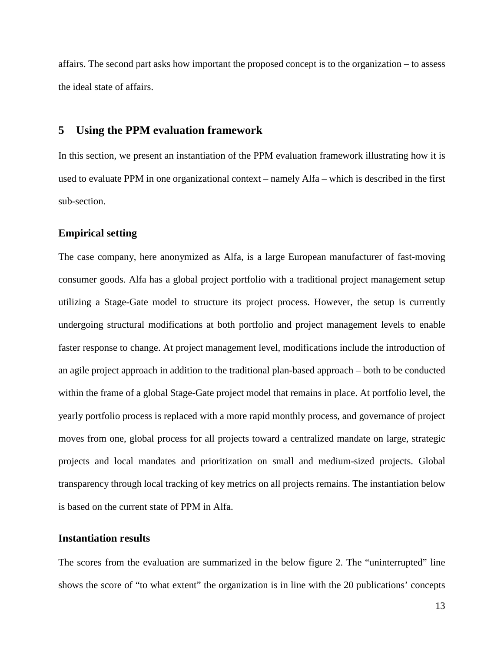affairs. The second part asks how important the proposed concept is to the organization – to assess the ideal state of affairs.

#### **5 Using the PPM evaluation framework**

In this section, we present an instantiation of the PPM evaluation framework illustrating how it is used to evaluate PPM in one organizational context – namely Alfa – which is described in the first sub-section.

#### **Empirical setting**

The case company, here anonymized as Alfa, is a large European manufacturer of fast-moving consumer goods. Alfa has a global project portfolio with a traditional project management setup utilizing a Stage-Gate model to structure its project process. However, the setup is currently undergoing structural modifications at both portfolio and project management levels to enable faster response to change. At project management level, modifications include the introduction of an agile project approach in addition to the traditional plan-based approach – both to be conducted within the frame of a global Stage-Gate project model that remains in place. At portfolio level, the yearly portfolio process is replaced with a more rapid monthly process, and governance of project moves from one, global process for all projects toward a centralized mandate on large, strategic projects and local mandates and prioritization on small and medium-sized projects. Global transparency through local tracking of key metrics on all projects remains. The instantiation below is based on the current state of PPM in Alfa.

#### **Instantiation results**

The scores from the evaluation are summarized in the below figure 2. The "uninterrupted" line shows the score of "to what extent" the organization is in line with the 20 publications' concepts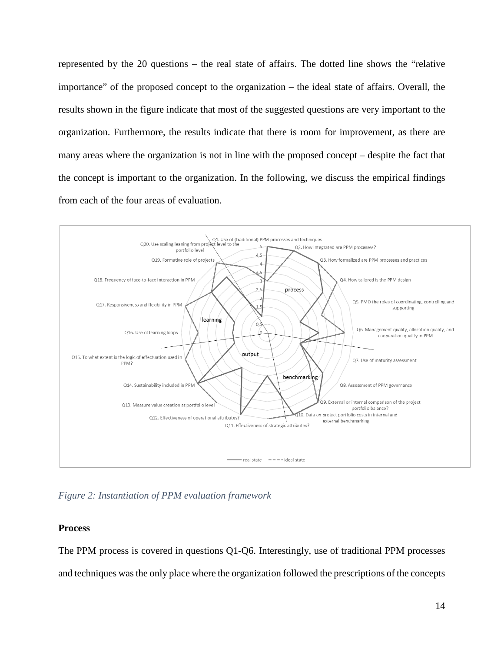represented by the 20 questions – the real state of affairs. The dotted line shows the "relative importance" of the proposed concept to the organization – the ideal state of affairs. Overall, the results shown in the figure indicate that most of the suggested questions are very important to the organization. Furthermore, the results indicate that there is room for improvement, as there are many areas where the organization is not in line with the proposed concept – despite the fact that the concept is important to the organization. In the following, we discuss the empirical findings from each of the four areas of evaluation.



*Figure 2: Instantiation of PPM evaluation framework*

#### **Process**

The PPM process is covered in questions Q1-Q6. Interestingly, use of traditional PPM processes and techniques was the only place where the organization followed the prescriptions of the concepts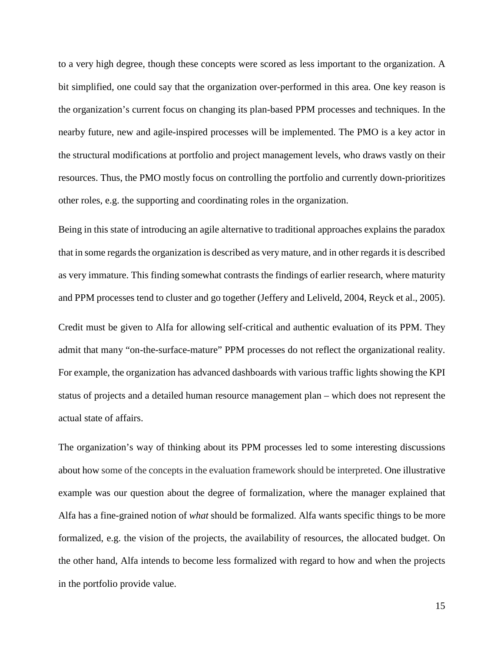to a very high degree, though these concepts were scored as less important to the organization. A bit simplified, one could say that the organization over-performed in this area. One key reason is the organization's current focus on changing its plan-based PPM processes and techniques. In the nearby future, new and agile-inspired processes will be implemented. The PMO is a key actor in the structural modifications at portfolio and project management levels, who draws vastly on their resources. Thus, the PMO mostly focus on controlling the portfolio and currently down-prioritizes other roles, e.g. the supporting and coordinating roles in the organization.

Being in this state of introducing an agile alternative to traditional approaches explains the paradox that in some regardsthe organization is described as very mature, and in other regards it is described as very immature. This finding somewhat contrasts the findings of earlier research, where maturity and PPM processes tend to cluster and go together (Jeffery and Leliveld, 2004, Reyck et al., 2005).

Credit must be given to Alfa for allowing self-critical and authentic evaluation of its PPM. They admit that many "on-the-surface-mature" PPM processes do not reflect the organizational reality. For example, the organization has advanced dashboards with various traffic lights showing the KPI status of projects and a detailed human resource management plan – which does not represent the actual state of affairs.

The organization's way of thinking about its PPM processes led to some interesting discussions about how some of the concepts in the evaluation framework should be interpreted. One illustrative example was our question about the degree of formalization, where the manager explained that Alfa has a fine-grained notion of *what* should be formalized. Alfa wants specific things to be more formalized, e.g. the vision of the projects, the availability of resources, the allocated budget. On the other hand, Alfa intends to become less formalized with regard to how and when the projects in the portfolio provide value.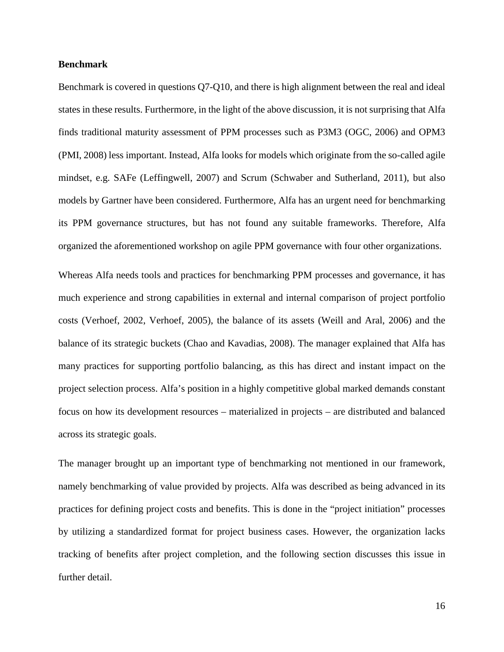#### **Benchmark**

Benchmark is covered in questions Q7-Q10, and there is high alignment between the real and ideal states in these results. Furthermore, in the light of the above discussion, it is not surprising that Alfa finds traditional maturity assessment of PPM processes such as P3M3 (OGC, 2006) and OPM3 (PMI, 2008) less important. Instead, Alfa looks for models which originate from the so-called agile mindset, e.g. SAFe (Leffingwell, 2007) and Scrum (Schwaber and Sutherland, 2011), but also models by Gartner have been considered. Furthermore, Alfa has an urgent need for benchmarking its PPM governance structures, but has not found any suitable frameworks. Therefore, Alfa organized the aforementioned workshop on agile PPM governance with four other organizations.

Whereas Alfa needs tools and practices for benchmarking PPM processes and governance, it has much experience and strong capabilities in external and internal comparison of project portfolio costs (Verhoef, 2002, Verhoef, 2005), the balance of its assets (Weill and Aral, 2006) and the balance of its strategic buckets (Chao and Kavadias, 2008). The manager explained that Alfa has many practices for supporting portfolio balancing, as this has direct and instant impact on the project selection process. Alfa's position in a highly competitive global marked demands constant focus on how its development resources – materialized in projects – are distributed and balanced across its strategic goals.

The manager brought up an important type of benchmarking not mentioned in our framework, namely benchmarking of value provided by projects. Alfa was described as being advanced in its practices for defining project costs and benefits. This is done in the "project initiation" processes by utilizing a standardized format for project business cases. However, the organization lacks tracking of benefits after project completion, and the following section discusses this issue in further detail.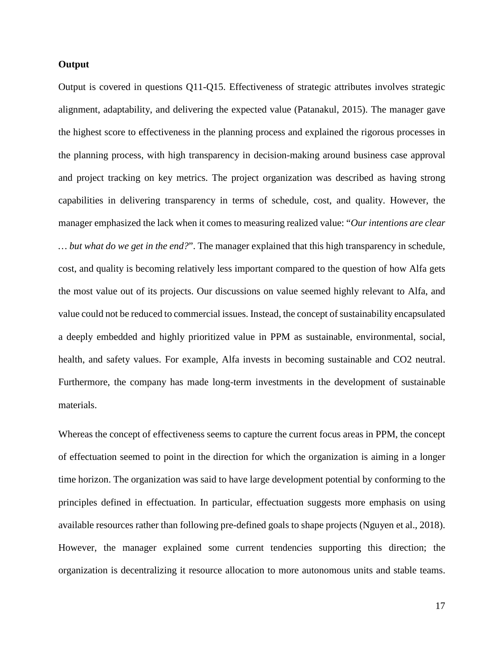#### **Output**

Output is covered in questions Q11-Q15. Effectiveness of strategic attributes involves strategic alignment, adaptability, and delivering the expected value (Patanakul, 2015). The manager gave the highest score to effectiveness in the planning process and explained the rigorous processes in the planning process, with high transparency in decision-making around business case approval and project tracking on key metrics. The project organization was described as having strong capabilities in delivering transparency in terms of schedule, cost, and quality. However, the manager emphasized the lack when it comes to measuring realized value: "*Our intentions are clear … but what do we get in the end?*". The manager explained that this high transparency in schedule, cost, and quality is becoming relatively less important compared to the question of how Alfa gets the most value out of its projects. Our discussions on value seemed highly relevant to Alfa, and value could not be reduced to commercial issues. Instead, the concept of sustainability encapsulated a deeply embedded and highly prioritized value in PPM as sustainable, environmental, social, health, and safety values. For example, Alfa invests in becoming sustainable and CO2 neutral. Furthermore, the company has made long-term investments in the development of sustainable materials.

Whereas the concept of effectiveness seems to capture the current focus areas in PPM, the concept of effectuation seemed to point in the direction for which the organization is aiming in a longer time horizon. The organization was said to have large development potential by conforming to the principles defined in effectuation. In particular, effectuation suggests more emphasis on using available resources rather than following pre-defined goals to shape projects (Nguyen et al., 2018). However, the manager explained some current tendencies supporting this direction; the organization is decentralizing it resource allocation to more autonomous units and stable teams.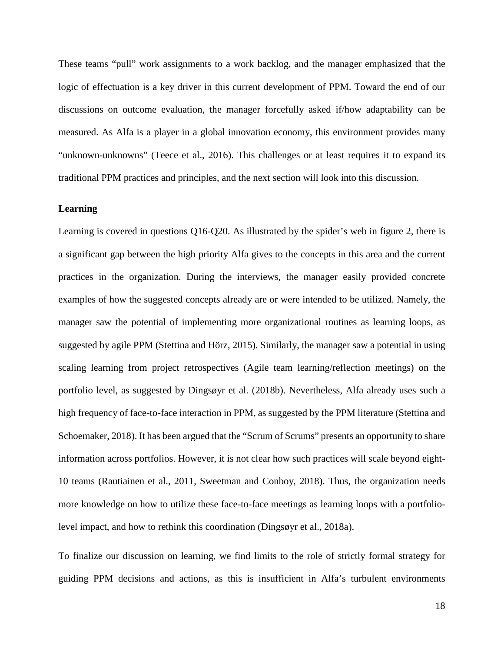These teams "pull" work assignments to a work backlog, and the manager emphasized that the logic of effectuation is a key driver in this current development of PPM. Toward the end of our discussions on outcome evaluation, the manager forcefully asked if/how adaptability can be measured. As Alfa is a player in a global innovation economy, this environment provides many "unknown-unknowns" (Teece et al., 2016). This challenges or at least requires it to expand its traditional PPM practices and principles, and the next section will look into this discussion.

#### **Learning**

Learning is covered in questions Q16-Q20. As illustrated by the spider's web in figure 2, there is a significant gap between the high priority Alfa gives to the concepts in this area and the current practices in the organization. During the interviews, the manager easily provided concrete examples of how the suggested concepts already are or were intended to be utilized. Namely, the manager saw the potential of implementing more organizational routines as learning loops, as suggested by agile PPM (Stettina and Hörz, 2015). Similarly, the manager saw a potential in using scaling learning from project retrospectives (Agile team learning/reflection meetings) on the portfolio level, as suggested by Dingsøyr et al. (2018b). Nevertheless, Alfa already uses such a high frequency of face-to-face interaction in PPM, as suggested by the PPM literature (Stettina and Schoemaker, 2018). It has been argued that the "Scrum of Scrums" presents an opportunity to share information across portfolios. However, it is not clear how such practices will scale beyond eight-10 teams (Rautiainen et al., 2011, Sweetman and Conboy, 2018). Thus, the organization needs more knowledge on how to utilize these face-to-face meetings as learning loops with a portfoliolevel impact, and how to rethink this coordination (Dingsøyr et al., 2018a).

To finalize our discussion on learning, we find limits to the role of strictly formal strategy for guiding PPM decisions and actions, as this is insufficient in Alfa's turbulent environments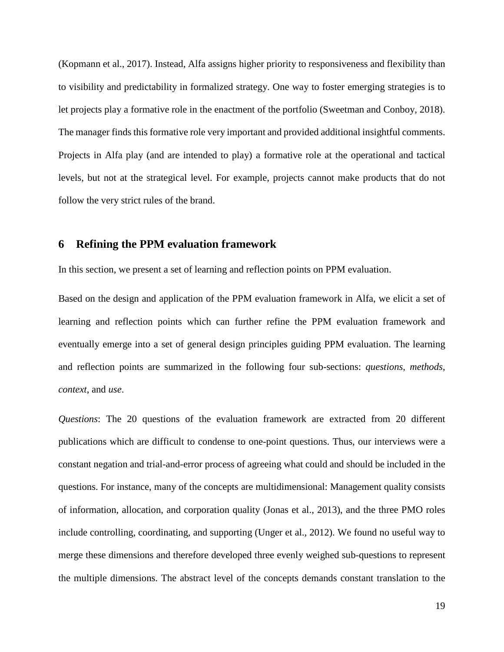(Kopmann et al., 2017). Instead, Alfa assigns higher priority to responsiveness and flexibility than to visibility and predictability in formalized strategy. One way to foster emerging strategies is to let projects play a formative role in the enactment of the portfolio (Sweetman and Conboy, 2018). The manager finds this formative role very important and provided additional insightful comments. Projects in Alfa play (and are intended to play) a formative role at the operational and tactical levels, but not at the strategical level. For example, projects cannot make products that do not follow the very strict rules of the brand.

#### **6 Refining the PPM evaluation framework**

In this section, we present a set of learning and reflection points on PPM evaluation.

Based on the design and application of the PPM evaluation framework in Alfa, we elicit a set of learning and reflection points which can further refine the PPM evaluation framework and eventually emerge into a set of general design principles guiding PPM evaluation. The learning and reflection points are summarized in the following four sub-sections: *questions*, *methods*, *context*, and *use*.

*Questions*: The 20 questions of the evaluation framework are extracted from 20 different publications which are difficult to condense to one-point questions. Thus, our interviews were a constant negation and trial-and-error process of agreeing what could and should be included in the questions. For instance, many of the concepts are multidimensional: Management quality consists of information, allocation, and corporation quality (Jonas et al., 2013), and the three PMO roles include controlling, coordinating, and supporting (Unger et al., 2012). We found no useful way to merge these dimensions and therefore developed three evenly weighed sub-questions to represent the multiple dimensions. The abstract level of the concepts demands constant translation to the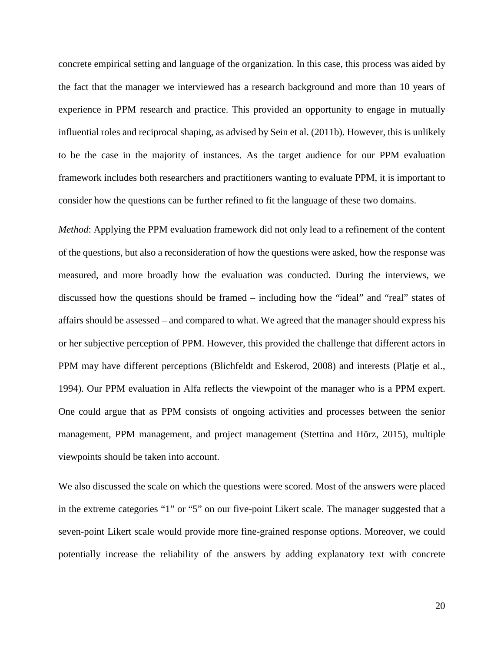concrete empirical setting and language of the organization. In this case, this process was aided by the fact that the manager we interviewed has a research background and more than 10 years of experience in PPM research and practice. This provided an opportunity to engage in mutually influential roles and reciprocal shaping, as advised by Sein et al. (2011b). However, this is unlikely to be the case in the majority of instances. As the target audience for our PPM evaluation framework includes both researchers and practitioners wanting to evaluate PPM, it is important to consider how the questions can be further refined to fit the language of these two domains.

*Method*: Applying the PPM evaluation framework did not only lead to a refinement of the content of the questions, but also a reconsideration of how the questions were asked, how the response was measured, and more broadly how the evaluation was conducted. During the interviews, we discussed how the questions should be framed – including how the "ideal" and "real" states of affairs should be assessed – and compared to what. We agreed that the manager should express his or her subjective perception of PPM. However, this provided the challenge that different actors in PPM may have different perceptions (Blichfeldt and Eskerod, 2008) and interests (Platje et al., 1994). Our PPM evaluation in Alfa reflects the viewpoint of the manager who is a PPM expert. One could argue that as PPM consists of ongoing activities and processes between the senior management, PPM management, and project management (Stettina and Hörz, 2015), multiple viewpoints should be taken into account.

We also discussed the scale on which the questions were scored. Most of the answers were placed in the extreme categories "1" or "5" on our five-point Likert scale. The manager suggested that a seven-point Likert scale would provide more fine-grained response options. Moreover, we could potentially increase the reliability of the answers by adding explanatory text with concrete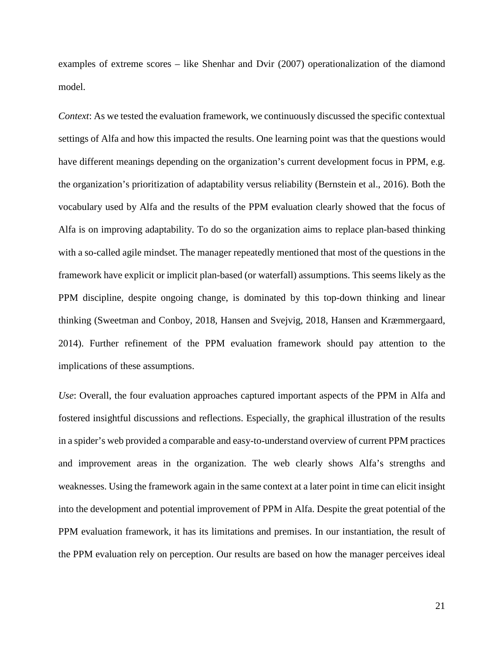examples of extreme scores – like Shenhar and Dvir (2007) operationalization of the diamond model.

*Context*: As we tested the evaluation framework, we continuously discussed the specific contextual settings of Alfa and how this impacted the results. One learning point was that the questions would have different meanings depending on the organization's current development focus in PPM, e.g. the organization's prioritization of adaptability versus reliability (Bernstein et al., 2016). Both the vocabulary used by Alfa and the results of the PPM evaluation clearly showed that the focus of Alfa is on improving adaptability. To do so the organization aims to replace plan-based thinking with a so-called agile mindset. The manager repeatedly mentioned that most of the questions in the framework have explicit or implicit plan-based (or waterfall) assumptions. This seems likely as the PPM discipline, despite ongoing change, is dominated by this top-down thinking and linear thinking (Sweetman and Conboy, 2018, Hansen and Svejvig, 2018, Hansen and Kræmmergaard, 2014). Further refinement of the PPM evaluation framework should pay attention to the implications of these assumptions.

*Use*: Overall, the four evaluation approaches captured important aspects of the PPM in Alfa and fostered insightful discussions and reflections. Especially, the graphical illustration of the results in a spider's web provided a comparable and easy-to-understand overview of current PPM practices and improvement areas in the organization. The web clearly shows Alfa's strengths and weaknesses. Using the framework again in the same context at a later point in time can elicit insight into the development and potential improvement of PPM in Alfa. Despite the great potential of the PPM evaluation framework, it has its limitations and premises. In our instantiation, the result of the PPM evaluation rely on perception. Our results are based on how the manager perceives ideal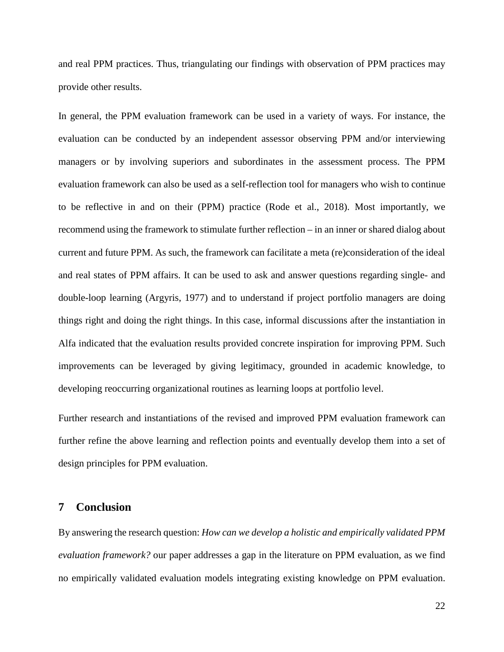and real PPM practices. Thus, triangulating our findings with observation of PPM practices may provide other results.

In general, the PPM evaluation framework can be used in a variety of ways. For instance, the evaluation can be conducted by an independent assessor observing PPM and/or interviewing managers or by involving superiors and subordinates in the assessment process. The PPM evaluation framework can also be used as a self-reflection tool for managers who wish to continue to be reflective in and on their (PPM) practice (Rode et al., 2018). Most importantly, we recommend using the framework to stimulate further reflection – in an inner or shared dialog about current and future PPM. As such, the framework can facilitate a meta (re)consideration of the ideal and real states of PPM affairs. It can be used to ask and answer questions regarding single- and double-loop learning (Argyris, 1977) and to understand if project portfolio managers are doing things right and doing the right things. In this case, informal discussions after the instantiation in Alfa indicated that the evaluation results provided concrete inspiration for improving PPM. Such improvements can be leveraged by giving legitimacy, grounded in academic knowledge, to developing reoccurring organizational routines as learning loops at portfolio level.

Further research and instantiations of the revised and improved PPM evaluation framework can further refine the above learning and reflection points and eventually develop them into a set of design principles for PPM evaluation.

#### **7 Conclusion**

By answering the research question: *How can we develop a holistic and empirically validated PPM evaluation framework?* our paper addresses a gap in the literature on PPM evaluation, as we find no empirically validated evaluation models integrating existing knowledge on PPM evaluation.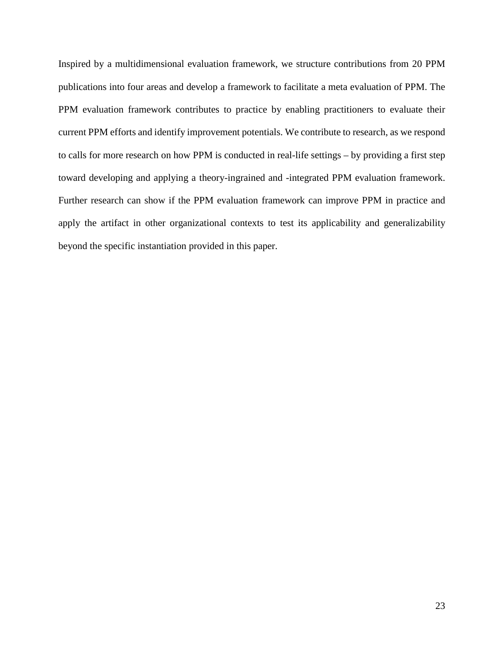Inspired by a multidimensional evaluation framework, we structure contributions from 20 PPM publications into four areas and develop a framework to facilitate a meta evaluation of PPM. The PPM evaluation framework contributes to practice by enabling practitioners to evaluate their current PPM efforts and identify improvement potentials. We contribute to research, as we respond to calls for more research on how PPM is conducted in real-life settings – by providing a first step toward developing and applying a theory-ingrained and -integrated PPM evaluation framework. Further research can show if the PPM evaluation framework can improve PPM in practice and apply the artifact in other organizational contexts to test its applicability and generalizability beyond the specific instantiation provided in this paper.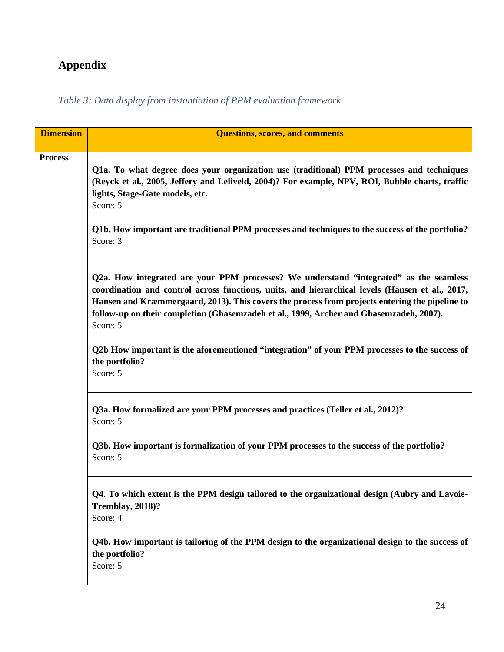## **Appendix**

*Table 3: Data display from instantiation of PPM evaluation framework*

| <b>Dimension</b> | <b>Questions, scores, and comments</b>                                                                                                                                                                                                                                                                                                                                                             |
|------------------|----------------------------------------------------------------------------------------------------------------------------------------------------------------------------------------------------------------------------------------------------------------------------------------------------------------------------------------------------------------------------------------------------|
| <b>Process</b>   | Q1a. To what degree does your organization use (traditional) PPM processes and techniques<br>(Reyck et al., 2005, Jeffery and Leliveld, 2004)? For example, NPV, ROI, Bubble charts, traffic<br>lights, Stage-Gate models, etc.<br>Score: 5<br>Q1b. How important are traditional PPM processes and techniques to the success of the portfolio?                                                    |
|                  | Score: 3                                                                                                                                                                                                                                                                                                                                                                                           |
|                  | Q2a. How integrated are your PPM processes? We understand "integrated" as the seamless<br>coordination and control across functions, units, and hierarchical levels (Hansen et al., 2017,<br>Hansen and Kræmmergaard, 2013). This covers the process from projects entering the pipeline to<br>follow-up on their completion (Ghasemzadeh et al., 1999, Archer and Ghasemzadeh, 2007).<br>Score: 5 |
|                  | Q2b How important is the aforementioned "integration" of your PPM processes to the success of<br>the portfolio?<br>Score: 5                                                                                                                                                                                                                                                                        |
|                  | Q3a. How formalized are your PPM processes and practices (Teller et al., 2012)?<br>Score: 5                                                                                                                                                                                                                                                                                                        |
|                  | Q3b. How important is formalization of your PPM processes to the success of the portfolio?<br>Score: 5                                                                                                                                                                                                                                                                                             |
|                  | Q4. To which extent is the PPM design tailored to the organizational design (Aubry and Lavoie-<br>Tremblay, 2018)?<br>Score: 4                                                                                                                                                                                                                                                                     |
|                  | Q4b. How important is tailoring of the PPM design to the organizational design to the success of<br>the portfolio?<br>Score: 5                                                                                                                                                                                                                                                                     |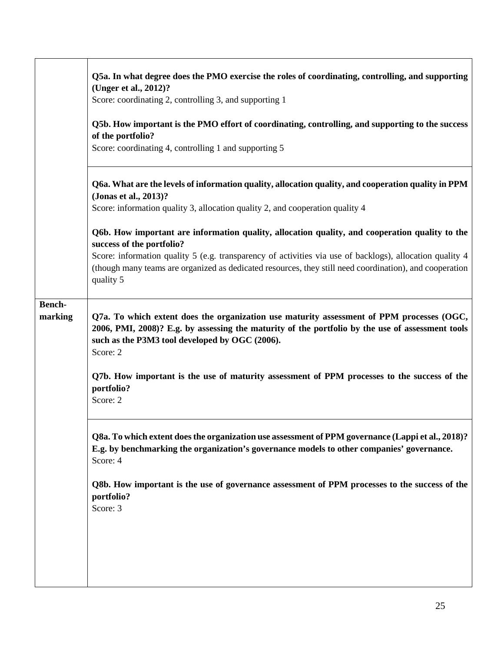|               | Q5a. In what degree does the PMO exercise the roles of coordinating, controlling, and supporting<br>(Unger et al., 2012)?                                                                                                                                   |
|---------------|-------------------------------------------------------------------------------------------------------------------------------------------------------------------------------------------------------------------------------------------------------------|
|               | Score: coordinating 2, controlling 3, and supporting 1                                                                                                                                                                                                      |
|               | Q5b. How important is the PMO effort of coordinating, controlling, and supporting to the success<br>of the portfolio?<br>Score: coordinating 4, controlling 1 and supporting 5                                                                              |
|               | Q6a. What are the levels of information quality, allocation quality, and cooperation quality in PPM<br>(Jonas et al., 2013)?<br>Score: information quality 3, allocation quality 2, and cooperation quality 4                                               |
|               |                                                                                                                                                                                                                                                             |
|               | Q6b. How important are information quality, allocation quality, and cooperation quality to the<br>success of the portfolio?                                                                                                                                 |
|               | Score: information quality 5 (e.g. transparency of activities via use of backlogs), allocation quality 4<br>(though many teams are organized as dedicated resources, they still need coordination), and cooperation<br>quality 5                            |
| <b>Bench-</b> |                                                                                                                                                                                                                                                             |
| marking       | Q7a. To which extent does the organization use maturity assessment of PPM processes (OGC,<br>2006, PMI, 2008)? E.g. by assessing the maturity of the portfolio by the use of assessment tools<br>such as the P3M3 tool developed by OGC (2006).<br>Score: 2 |
|               | Q7b. How important is the use of maturity assessment of PPM processes to the success of the<br>portfolio?<br>Score: 2                                                                                                                                       |
|               | Q8a. To which extent does the organization use assessment of PPM governance (Lappi et al., 2018)?<br>E.g. by benchmarking the organization's governance models to other companies' governance.<br>Score: 4                                                  |
|               | Q8b. How important is the use of governance assessment of PPM processes to the success of the<br>portfolio?<br>Score: 3                                                                                                                                     |
|               |                                                                                                                                                                                                                                                             |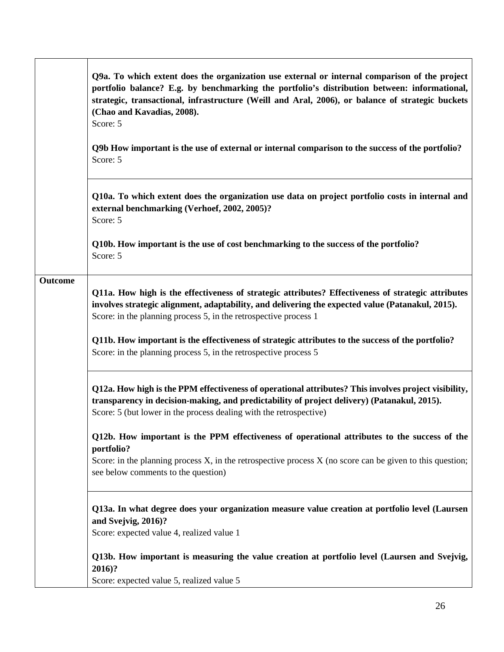|         | Q9a. To which extent does the organization use external or internal comparison of the project<br>portfolio balance? E.g. by benchmarking the portfolio's distribution between: informational,<br>strategic, transactional, infrastructure (Weill and Aral, 2006), or balance of strategic buckets<br>(Chao and Kavadias, 2008).<br>Score: 5 |
|---------|---------------------------------------------------------------------------------------------------------------------------------------------------------------------------------------------------------------------------------------------------------------------------------------------------------------------------------------------|
|         | Q9b How important is the use of external or internal comparison to the success of the portfolio?<br>Score: 5                                                                                                                                                                                                                                |
|         | Q10a. To which extent does the organization use data on project portfolio costs in internal and<br>external benchmarking (Verhoef, 2002, 2005)?<br>Score: 5                                                                                                                                                                                 |
|         | Q10b. How important is the use of cost benchmarking to the success of the portfolio?<br>Score: 5                                                                                                                                                                                                                                            |
| Outcome | Q11a. How high is the effectiveness of strategic attributes? Effectiveness of strategic attributes<br>involves strategic alignment, adaptability, and delivering the expected value (Patanakul, 2015).<br>Score: in the planning process 5, in the retrospective process 1                                                                  |
|         | Q11b. How important is the effectiveness of strategic attributes to the success of the portfolio?<br>Score: in the planning process 5, in the retrospective process 5                                                                                                                                                                       |
|         | Q12a. How high is the PPM effectiveness of operational attributes? This involves project visibility,<br>transparency in decision-making, and predictability of project delivery) (Patanakul, 2015).<br>Score: 5 (but lower in the process dealing with the retrospective)                                                                   |
|         | Q12b. How important is the PPM effectiveness of operational attributes to the success of the<br>portfolio?<br>Score: in the planning process $X$ , in the retrospective process $X$ (no score can be given to this question;<br>see below comments to the question)                                                                         |
|         | Q13a. In what degree does your organization measure value creation at portfolio level (Laursen<br>and Svejvig, 2016)?<br>Score: expected value 4, realized value 1                                                                                                                                                                          |
|         | Q13b. How important is measuring the value creation at portfolio level (Laursen and Svejvig,<br>2016)?<br>Score: expected value 5, realized value 5                                                                                                                                                                                         |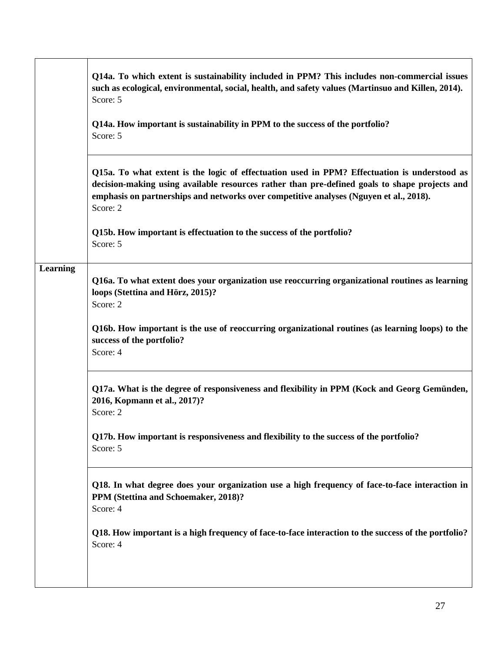|                 | Q14a. To which extent is sustainability included in PPM? This includes non-commercial issues<br>such as ecological, environmental, social, health, and safety values (Martinsuo and Killen, 2014).<br>Score: 5                                                                                      |
|-----------------|-----------------------------------------------------------------------------------------------------------------------------------------------------------------------------------------------------------------------------------------------------------------------------------------------------|
|                 | Q14a. How important is sustainability in PPM to the success of the portfolio?<br>Score: 5                                                                                                                                                                                                           |
|                 | Q15a. To what extent is the logic of effectuation used in PPM? Effectuation is understood as<br>decision-making using available resources rather than pre-defined goals to shape projects and<br>emphasis on partnerships and networks over competitive analyses (Nguyen et al., 2018).<br>Score: 2 |
|                 | Q15b. How important is effectuation to the success of the portfolio?<br>Score: 5                                                                                                                                                                                                                    |
| <b>Learning</b> | Q16a. To what extent does your organization use reoccurring organizational routines as learning<br>loops (Stettina and Hörz, 2015)?<br>Score: 2                                                                                                                                                     |
|                 | Q16b. How important is the use of reoccurring organizational routines (as learning loops) to the<br>success of the portfolio?<br>Score: 4                                                                                                                                                           |
|                 | Q17a. What is the degree of responsiveness and flexibility in PPM (Kock and Georg Gemünden,<br>2016, Kopmann et al., 2017)?<br>Score: 2                                                                                                                                                             |
|                 | Q17b. How important is responsiveness and flexibility to the success of the portfolio?<br>Score: 5                                                                                                                                                                                                  |
|                 | Q18. In what degree does your organization use a high frequency of face-to-face interaction in<br>PPM (Stettina and Schoemaker, 2018)?<br>Score: 4                                                                                                                                                  |
|                 | Q18. How important is a high frequency of face-to-face interaction to the success of the portfolio?<br>Score: 4                                                                                                                                                                                     |
|                 |                                                                                                                                                                                                                                                                                                     |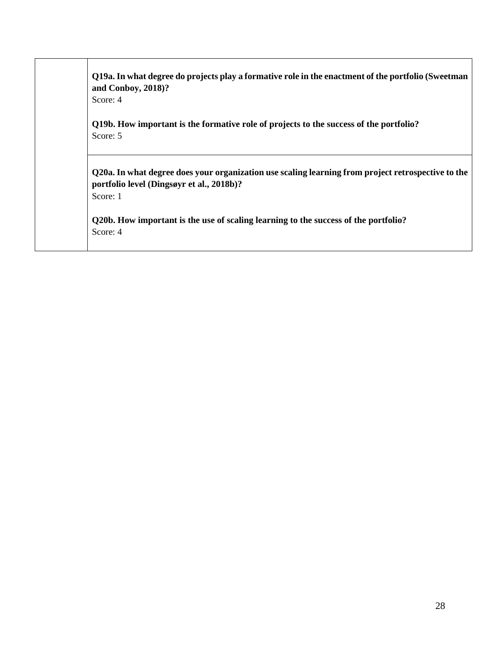## **Q19a. In what degree do projects play a formative role in the enactment of the portfolio (Sweetman and Conboy, 2018)?**

Score: 4

**Q19b. How important is the formative role of projects to the success of the portfolio?** Score: 5

**Q20a. In what degree does your organization use scaling learning from project retrospective to the portfolio level (Dingsøyr et al., 2018b)?** 

Score: 1

**Q20b. How important is the use of scaling learning to the success of the portfolio?** Score: 4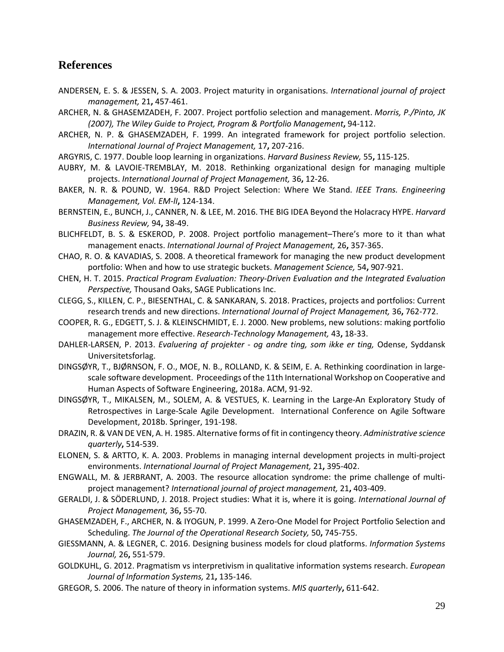#### **References**

- ANDERSEN, E. S. & JESSEN, S. A. 2003. Project maturity in organisations. *International journal of project management,* 21**,** 457-461.
- ARCHER, N. & GHASEMZADEH, F. 2007. Project portfolio selection and management. *Morris, P./Pinto, JK (2007), The Wiley Guide to Project, Program & Portfolio Management***,** 94-112.
- ARCHER, N. P. & GHASEMZADEH, F. 1999. An integrated framework for project portfolio selection. *International Journal of Project Management,* 17**,** 207-216.
- ARGYRIS, C. 1977. Double loop learning in organizations. *Harvard Business Review,* 55**,** 115-125.
- AUBRY, M. & LAVOIE-TREMBLAY, M. 2018. Rethinking organizational design for managing multiple projects. *International Journal of Project Management,* 36**,** 12-26.
- BAKER, N. R. & POUND, W. 1964. R&D Project Selection: Where We Stand. *IEEE Trans. Engineering Management, Vol. EM-lI***,** 124-134.
- BERNSTEIN, E., BUNCH, J., CANNER, N. & LEE, M. 2016. THE BIG IDEA Beyond the Holacracy HYPE. *Harvard Business Review,* 94**,** 38-49.
- BLICHFELDT, B. S. & ESKEROD, P. 2008. Project portfolio management–There's more to it than what management enacts. *International Journal of Project Management,* 26**,** 357-365.
- CHAO, R. O. & KAVADIAS, S. 2008. A theoretical framework for managing the new product development portfolio: When and how to use strategic buckets. *Management Science,* 54**,** 907-921.
- CHEN, H. T. 2015. *Practical Program Evaluation: Theory-Driven Evaluation and the Integrated Evaluation Perspective,* Thousand Oaks, SAGE Publications Inc.
- CLEGG, S., KILLEN, C. P., BIESENTHAL, C. & SANKARAN, S. 2018. Practices, projects and portfolios: Current research trends and new directions. *International Journal of Project Management,* 36**,** 762-772.
- COOPER, R. G., EDGETT, S. J. & KLEINSCHMIDT, E. J. 2000. New problems, new solutions: making portfolio management more effective. *Research-Technology Management,* 43**,** 18-33.
- DAHLER-LARSEN, P. 2013. *Evaluering af projekter - og andre ting, som ikke er ting,* Odense, Syddansk Universitetsforlag.
- DINGSØYR, T., BJØRNSON, F. O., MOE, N. B., ROLLAND, K. & SEIM, E. A. Rethinking coordination in largescale software development. Proceedings of the 11th International Workshop on Cooperative and Human Aspects of Software Engineering, 2018a. ACM, 91-92.
- DINGSØYR, T., MIKALSEN, M., SOLEM, A. & VESTUES, K. Learning in the Large-An Exploratory Study of Retrospectives in Large-Scale Agile Development. International Conference on Agile Software Development, 2018b. Springer, 191-198.
- DRAZIN, R. & VAN DE VEN, A. H. 1985. Alternative forms of fit in contingency theory. *Administrative science quarterly***,** 514-539.
- ELONEN, S. & ARTTO, K. A. 2003. Problems in managing internal development projects in multi-project environments. *International Journal of Project Management,* 21**,** 395-402.
- ENGWALL, M. & JERBRANT, A. 2003. The resource allocation syndrome: the prime challenge of multiproject management? *International journal of project management,* 21**,** 403-409.
- GERALDI, J. & SÖDERLUND, J. 2018. Project studies: What it is, where it is going. *International Journal of Project Management,* 36**,** 55-70.
- GHASEMZADEH, F., ARCHER, N. & IYOGUN, P. 1999. A Zero-One Model for Project Portfolio Selection and Scheduling. *The Journal of the Operational Research Society,* 50**,** 745-755.
- GIESSMANN, A. & LEGNER, C. 2016. Designing business models for cloud platforms. *Information Systems Journal,* 26**,** 551-579.
- GOLDKUHL, G. 2012. Pragmatism vs interpretivism in qualitative information systems research. *European Journal of Information Systems,* 21**,** 135-146.
- GREGOR, S. 2006. The nature of theory in information systems. *MIS quarterly***,** 611-642.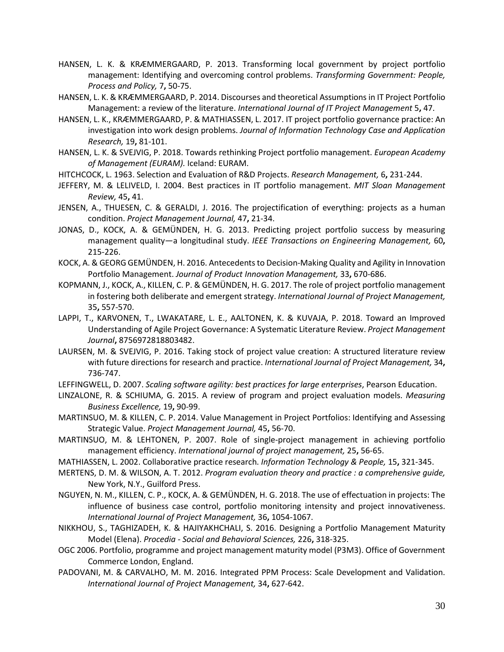- HANSEN, L. K. & KRÆMMERGAARD, P. 2013. Transforming local government by project portfolio management: Identifying and overcoming control problems. *Transforming Government: People, Process and Policy,* 7**,** 50-75.
- HANSEN, L. K. & KRÆMMERGAARD, P. 2014. Discourses and theoretical Assumptions in IT Project Portfolio Management: a review of the literature. *International Journal of IT Project Management* 5**,** 47.
- HANSEN, L. K., KRÆMMERGAARD, P. & MATHIASSEN, L. 2017. IT project portfolio governance practice: An investigation into work design problems. *Journal of Information Technology Case and Application Research,* 19**,** 81-101.
- HANSEN, L. K. & SVEJVIG, P. 2018. Towards rethinking Project portfolio management. *European Academy of Management (EURAM).* Iceland: EURAM.
- HITCHCOCK, L. 1963. Selection and Evaluation of R&D Projects. *Research Management,* 6**,** 231-244.
- JEFFERY, M. & LELIVELD, I. 2004. Best practices in IT portfolio management. *MIT Sloan Management Review,* 45**,** 41.
- JENSEN, A., THUESEN, C. & GERALDI, J. 2016. The projectification of everything: projects as a human condition. *Project Management Journal,* 47**,** 21-34.
- JONAS, D., KOCK, A. & GEMÜNDEN, H. G. 2013. Predicting project portfolio success by measuring management quality—a longitudinal study. *IEEE Transactions on Engineering Management,* 60**,** 215-226.
- KOCK, A. & GEORG GEMÜNDEN, H. 2016. Antecedents to Decision-Making Quality and Agility in Innovation Portfolio Management. *Journal of Product Innovation Management,* 33**,** 670-686.
- KOPMANN, J., KOCK, A., KILLEN, C. P. & GEMÜNDEN, H. G. 2017. The role of project portfolio management in fostering both deliberate and emergent strategy. *International Journal of Project Management,* 35**,** 557-570.
- LAPPI, T., KARVONEN, T., LWAKATARE, L. E., AALTONEN, K. & KUVAJA, P. 2018. Toward an Improved Understanding of Agile Project Governance: A Systematic Literature Review. *Project Management Journal***,** 8756972818803482.
- LAURSEN, M. & SVEJVIG, P. 2016. Taking stock of project value creation: A structured literature review with future directions for research and practice. *International Journal of Project Management,* 34**,** 736-747.
- LEFFINGWELL, D. 2007. *Scaling software agility: best practices for large enterprises*, Pearson Education.
- LINZALONE, R. & SCHIUMA, G. 2015. A review of program and project evaluation models. *Measuring Business Excellence,* 19**,** 90-99.
- MARTINSUO, M. & KILLEN, C. P. 2014. Value Management in Project Portfolios: Identifying and Assessing Strategic Value. *Project Management Journal,* 45**,** 56-70.
- MARTINSUO, M. & LEHTONEN, P. 2007. Role of single-project management in achieving portfolio management efficiency. *International journal of project management,* 25**,** 56-65.
- MATHIASSEN, L. 2002. Collaborative practice research. *Information Technology & People,* 15**,** 321-345.
- MERTENS, D. M. & WILSON, A. T. 2012. *Program evaluation theory and practice : a comprehensive guide,*  New York, N.Y., Guilford Press.
- NGUYEN, N. M., KILLEN, C. P., KOCK, A. & GEMÜNDEN, H. G. 2018. The use of effectuation in projects: The influence of business case control, portfolio monitoring intensity and project innovativeness. *International Journal of Project Management,* 36**,** 1054-1067.
- NIKKHOU, S., TAGHIZADEH, K. & HAJIYAKHCHALI, S. 2016. Designing a Portfolio Management Maturity Model (Elena). *Procedia - Social and Behavioral Sciences,* 226**,** 318-325.
- OGC 2006. Portfolio, programme and project management maturity model (P3M3). Office of Government Commerce London, England.
- PADOVANI, M. & CARVALHO, M. M. 2016. Integrated PPM Process: Scale Development and Validation. *International Journal of Project Management,* 34**,** 627-642.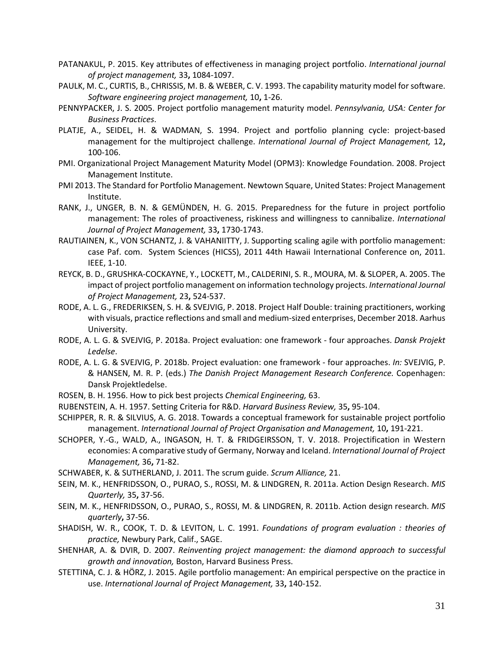- PATANAKUL, P. 2015. Key attributes of effectiveness in managing project portfolio. *International journal of project management,* 33**,** 1084-1097.
- PAULK, M. C., CURTIS, B., CHRISSIS, M. B. & WEBER, C. V. 1993. The capability maturity model for software. *Software engineering project management,* 10**,** 1-26.
- PENNYPACKER, J. S. 2005. Project portfolio management maturity model. *Pennsylvania, USA: Center for Business Practices*.
- PLATJE, A., SEIDEL, H. & WADMAN, S. 1994. Project and portfolio planning cycle: project-based management for the multiproject challenge. *International Journal of Project Management,* 12**,** 100-106.
- PMI. Organizational Project Management Maturity Model (OPM3): Knowledge Foundation. 2008. Project Management Institute.
- PMI 2013. The Standard for Portfolio Management. Newtown Square, United States: Project Management Institute.
- RANK, J., UNGER, B. N. & GEMÜNDEN, H. G. 2015. Preparedness for the future in project portfolio management: The roles of proactiveness, riskiness and willingness to cannibalize. *International Journal of Project Management,* 33**,** 1730-1743.
- RAUTIAINEN, K., VON SCHANTZ, J. & VAHANIITTY, J. Supporting scaling agile with portfolio management: case Paf. com. System Sciences (HICSS), 2011 44th Hawaii International Conference on, 2011. IEEE, 1-10.
- REYCK, B. D., GRUSHKA-COCKAYNE, Y., LOCKETT, M., CALDERINI, S. R., MOURA, M. & SLOPER, A. 2005. The impact of project portfolio management on information technology projects. *International Journal of Project Management,* 23**,** 524-537.
- RODE, A. L. G., FREDERIKSEN, S. H. & SVEJVIG, P. 2018. Project Half Double: training practitioners, working with visuals, practice reflections and small and medium-sized enterprises, December 2018. Aarhus University.
- RODE, A. L. G. & SVEJVIG, P. 2018a. Project evaluation: one framework four approaches. *Dansk Projekt Ledelse*.
- RODE, A. L. G. & SVEJVIG, P. 2018b. Project evaluation: one framework four approaches. *In:* SVEJVIG, P. & HANSEN, M. R. P. (eds.) *The Danish Project Management Research Conference.* Copenhagen: Dansk Projektledelse.
- ROSEN, B. H. 1956. How to pick best projects *Chemical Engineering,* 63.
- RUBENSTEIN, A. H. 1957. Setting Criteria for R&D. *Harvard Business Review,* 35**,** 95-104.
- SCHIPPER, R. R. & SILVIUS, A. G. 2018. Towards a conceptual framework for sustainable project portfolio management. *International Journal of Project Organisation and Management,* 10**,** 191-221.
- SCHOPER, Y.-G., WALD, A., INGASON, H. T. & FRIDGEIRSSON, T. V. 2018. Projectification in Western economies: A comparative study of Germany, Norway and Iceland. *International Journal of Project Management,* 36**,** 71-82.
- SCHWABER, K. & SUTHERLAND, J. 2011. The scrum guide. *Scrum Alliance,* 21.
- SEIN, M. K., HENFRIDSSON, O., PURAO, S., ROSSI, M. & LINDGREN, R. 2011a. Action Design Research. *MIS Quarterly,* 35**,** 37-56.
- SEIN, M. K., HENFRIDSSON, O., PURAO, S., ROSSI, M. & LINDGREN, R. 2011b. Action design research. *MIS quarterly***,** 37-56.
- SHADISH, W. R., COOK, T. D. & LEVITON, L. C. 1991. *Foundations of program evaluation : theories of practice,* Newbury Park, Calif., SAGE.
- SHENHAR, A. & DVIR, D. 2007. *Reinventing project management: the diamond approach to successful growth and innovation,* Boston, Harvard Business Press.
- STETTINA, C. J. & HÖRZ, J. 2015. Agile portfolio management: An empirical perspective on the practice in use. *International Journal of Project Management,* 33**,** 140-152.